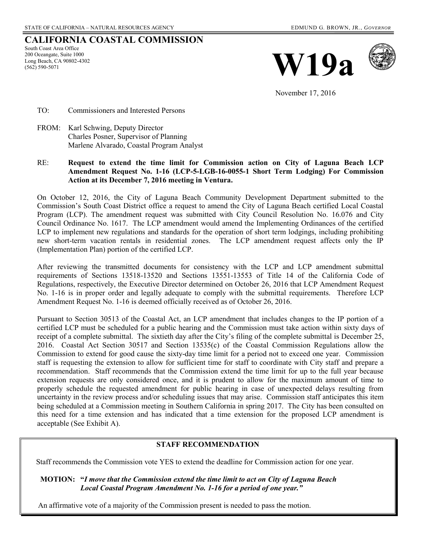## **CALIFORNIA COASTAL COMMISSION**

South Coast Area Office 200 Oceangate, Suite 1000 Long Beach, CA 90802-4302 (562) 590-5071





November 17, 2016

TO: Commissioners and Interested Persons

FROM: Karl Schwing, Deputy Director Charles Posner, Supervisor of Planning Marlene Alvarado, Coastal Program Analyst

### RE: **Request to extend the time limit for Commission action on City of Laguna Beach LCP Amendment Request No. 1-16 (LCP-5-LGB-16-0055-1 Short Term Lodging) For Commission Action at its December 7, 2016 meeting in Ventura.**

On October 12, 2016, the City of Laguna Beach Community Development Department submitted to the Commission's South Coast District office a request to amend the City of Laguna Beach certified Local Coastal Program (LCP). The amendment request was submitted with City Council Resolution No. 16.076 and City Council Ordinance No. 1617. The LCP amendment would amend the Implementing Ordinances of the certified LCP to implement new regulations and standards for the operation of short term lodgings, including prohibiting new short-term vacation rentals in residential zones. The LCP amendment request affects only the IP (Implementation Plan) portion of the certified LCP.

After reviewing the transmitted documents for consistency with the LCP and LCP amendment submittal requirements of Sections 13518-13520 and Sections 13551-13553 of Title 14 of the California Code of Regulations, respectively, the Executive Director determined on October 26, 2016 that LCP Amendment Request No. 1-16 is in proper order and legally adequate to comply with the submittal requirements. Therefore LCP Amendment Request No. 1-16 is deemed officially received as of October 26, 2016.

Pursuant to Section 30513 of the Coastal Act, an LCP amendment that includes changes to the IP portion of a certified LCP must be scheduled for a public hearing and the Commission must take action within sixty days of receipt of a complete submittal. The sixtieth day after the City's filing of the complete submittal is December 25, 2016. Coastal Act Section 30517 and Section 13535(c) of the Coastal Commission Regulations allow the Commission to extend for good cause the sixty-day time limit for a period not to exceed one year. Commission staff is requesting the extension to allow for sufficient time for staff to coordinate with City staff and prepare a recommendation. Staff recommends that the Commission extend the time limit for up to the full year because extension requests are only considered once, and it is prudent to allow for the maximum amount of time to properly schedule the requested amendment for public hearing in case of unexpected delays resulting from uncertainty in the review process and/or scheduling issues that may arise. Commission staff anticipates this item being scheduled at a Commission meeting in Southern California in spring 2017. The City has been consulted on this need for a time extension and has indicated that a time extension for the proposed LCP amendment is acceptable (See Exhibit A).

#### **STAFF RECOMMENDATION**

Staff recommends the Commission vote YES to extend the deadline for Commission action for one year.

 **MOTION: "***I move that the Commission extend the time limit to act on City of Laguna Beach*  *Local Coastal Program Amendment No. 1-16 for a period of one year."* 

An affirmative vote of a majority of the Commission present is needed to pass the motion.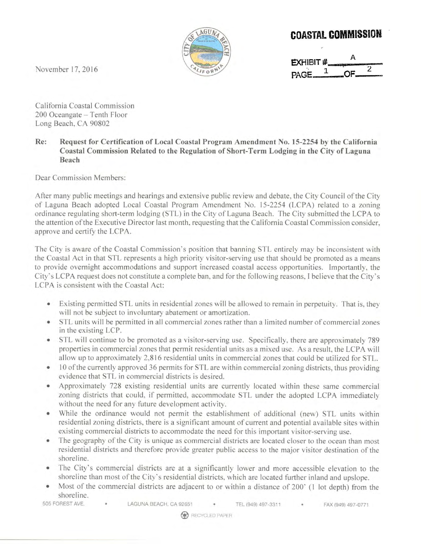

# **COASTAL COMMISSION**

| EXHIBIT# |     |  |  |
|----------|-----|--|--|
|          |     |  |  |
| PAGE.    | -OF |  |  |

November 17, 2016

California Coastal Commission 200 Oceangate - Tenth Floor Long Beach, CA 90802

#### Re: Request for Certification of Local Coastal Program Amendment No. 15-2254 by the California Coastal Commission Related to the Regulation of Short-Term Lodging in the City of Laguna Beach

Dear Commission Members:

After many public meetings and hearings and extensive public review and debate, the City Council of the City of Laguna Beach adopted Local Coastal Program Amendment No. 15-2254 (LCPA) related to a zoning ordinance regulating short-term lodging (STL) in the City of Laguna Beach. The City submitted the LCPA to the attention of the Executive Director last month, requesting that the California Coastal Commission consider, approve and certify the LCPA.

The City is aware of the Coastal Commission's position that banning STL entirely may be inconsistent with the Coastal Act in that STL represents a high priority visitor-serving use that should be promoted as a means to provide overnight accommodations and support increased coastal access opportunities. Importantly, the City's LCPA request does not constitute a complete ban, and for the following reasons, I believe that the City's LCPA is consistent with the Coastal Act:

- Existing permitted STL units in residential zones will be allowed to remain in perpetuity. That is, they will not be subject to involuntary abatement or amortization.
- STL units will be permitted in all commercial zones rather than a limited number of commercial zones in the existing LCP.
- STL will continue to be promoted as a visitor-serving use. Specifically, there are approximately 789 properties in commercial zones that permit residential units as a mixed use. As a result, the LCPA will allow up to approximately 2,816 residential units in commercial zones that could be utilized for STL.
- 10 of the currently approved 36 permits for STL are within commercial zoning districts, thus providing evidence that STL in commercial districts is desired.
- Approximately 728 existing residential units are currently located within these same commercial  $\bullet$ zoning districts that could, if permitted, accommodate STL under the adopted LCPA immediately without the need for any future development activity.
- While the ordinance would not permit the establishment of additional (new) STL units within residential zoning districts, there is a significant amount of current and potential available sites within existing commercial districts to accommodate the need for this important visitor-serving use.
- The geography of the City is unique as commercial districts are located closer to the ocean than most ۰ residential districts and therefore provide greater public access to the major visitor destination of the shoreline.
- The City's commercial districts are at a significantly lower and more accessible elevation to the shoreline than most of the City's residential districts, which are located further inland and upslope.
- Most of the commercial districts are adjacent to or within a distance of 200' (1 lot depth) from the shoreline.

505 FOREST AVE.

LAGUNA BEACH, CA 92651 TEL (949) 497-3311 FAX (949) 497-0771